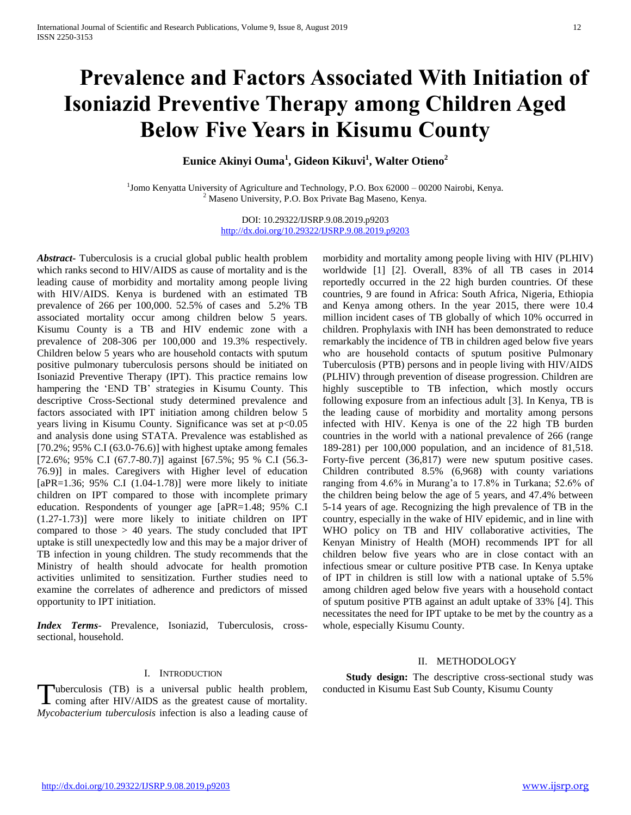# **Prevalence and Factors Associated With Initiation of Isoniazid Preventive Therapy among Children Aged Below Five Years in Kisumu County**

**Eunice Akinyi Ouma<sup>1</sup> , Gideon Kikuvi<sup>1</sup> , Walter Otieno<sup>2</sup>**

<sup>1</sup>Jomo Kenyatta University of Agriculture and Technology, P.O. Box 62000 – 00200 Nairobi, Kenya.  $2$  Maseno University, P.O. Box Private Bag Maseno, Kenya.

> DOI: 10.29322/IJSRP.9.08.2019.p9203 <http://dx.doi.org/10.29322/IJSRP.9.08.2019.p9203>

*Abstract***-** Tuberculosis is a crucial global public health problem which ranks second to HIV/AIDS as cause of mortality and is the leading cause of morbidity and mortality among people living with HIV/AIDS. Kenya is burdened with an estimated TB prevalence of 266 per 100,000. 52.5% of cases and 5.2% TB associated mortality occur among children below 5 years. Kisumu County is a TB and HIV endemic zone with a prevalence of 208-306 per 100,000 and 19.3% respectively. Children below 5 years who are household contacts with sputum positive pulmonary tuberculosis persons should be initiated on Isoniazid Preventive Therapy (IPT). This practice remains low hampering the 'END TB' strategies in Kisumu County. This descriptive Cross-Sectional study determined prevalence and factors associated with IPT initiation among children below 5 years living in Kisumu County. Significance was set at p<0.05 and analysis done using STATA. Prevalence was established as  $[70.2\%; 95\% \text{ C}$ . [63.0-76.6] with highest uptake among females [72.6%; 95% C.I (67.7-80.7)] against [67.5%; 95 % C.I (56.3- 76.9)] in males. Caregivers with Higher level of education  $[aPR=1.36; 95\% \text{ C.I } (1.04-1.78)]$  were more likely to initiate children on IPT compared to those with incomplete primary education. Respondents of younger age [aPR=1.48; 95% C.I (1.27-1.73)] were more likely to initiate children on IPT compared to those > 40 years. The study concluded that IPT uptake is still unexpectedly low and this may be a major driver of TB infection in young children. The study recommends that the Ministry of health should advocate for health promotion activities unlimited to sensitization. Further studies need to examine the correlates of adherence and predictors of missed opportunity to IPT initiation.

*Index Terms*- Prevalence, Isoniazid, Tuberculosis, crosssectional, household.

## morbidity and mortality among people living with HIV (PLHIV) worldwide [1] [2]. Overall, 83% of all TB cases in 2014 reportedly occurred in the 22 high burden countries. Of these countries, 9 are found in Africa: South Africa, Nigeria, Ethiopia and Kenya among others. In the year 2015, there were 10.4 million incident cases of TB globally of which 10% occurred in children. Prophylaxis with INH has been demonstrated to reduce remarkably the incidence of TB in children aged below five years who are household contacts of sputum positive Pulmonary Tuberculosis (PTB) persons and in people living with HIV/AIDS (PLHIV) through prevention of disease progression. Children are highly susceptible to TB infection, which mostly occurs following exposure from an infectious adult [3]. In Kenya, TB is the leading cause of morbidity and mortality among persons infected with HIV. Kenya is one of the 22 high TB burden countries in the world with a national prevalence of 266 (range 189-281) per 100,000 population, and an incidence of 81,518. Forty-five percent (36,817) were new sputum positive cases. Children contributed 8.5% (6,968) with county variations ranging from 4.6% in Murang'a to 17.8% in Turkana; 52.6% of the children being below the age of 5 years, and 47.4% between 5-14 years of age. Recognizing the high prevalence of TB in the country, especially in the wake of HIV epidemic, and in line with WHO policy on TB and HIV collaborative activities, The Kenyan Ministry of Health (MOH) recommends IPT for all children below five years who are in close contact with an infectious smear or culture positive PTB case. In Kenya uptake of IPT in children is still low with a national uptake of 5.5% among children aged below five years with a household contact of sputum positive PTB against an adult uptake of 33% [4]. This necessitates the need for IPT uptake to be met by the country as a whole, especially Kisumu County.

# II. METHODOLOGY

I. INTRODUCTION

uberculosis (TB) is a universal public health problem, Tuberculosis (TB) is a universal public health problem, conducted in Kisumu East Sub County, Kisumu County coming after HIV/AIDS as the greatest cause of mortality. *Mycobacterium tuberculosis* infection is also a leading cause of

 **Study design:** The descriptive cross-sectional study was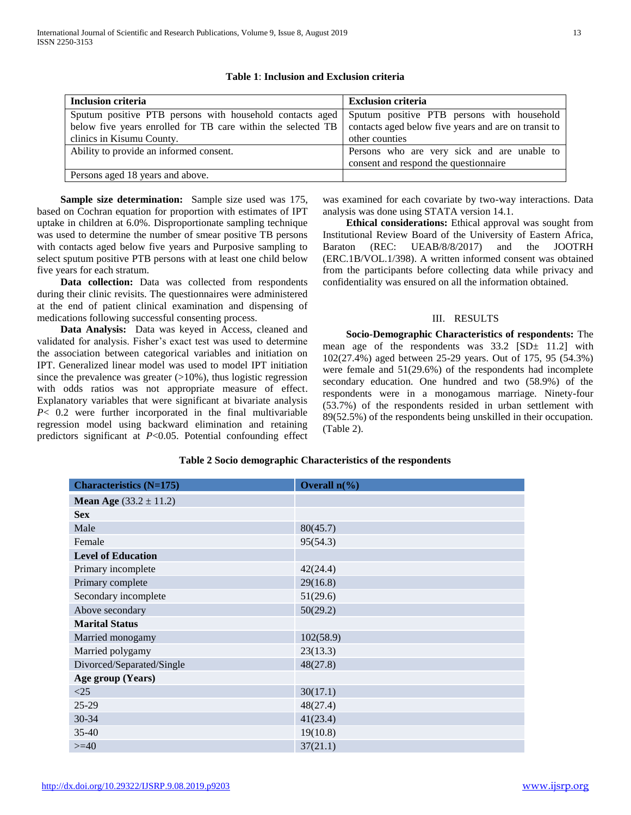| Inclusion criteria                                                                                  | <b>Exclusion criteria</b>                            |
|-----------------------------------------------------------------------------------------------------|------------------------------------------------------|
| Sputum positive PTB persons with household contacts aged Sputum positive PTB persons with household |                                                      |
| below five years enrolled for TB care within the selected TB                                        | contacts aged below five years and are on transit to |
| clinics in Kisumu County.                                                                           | other counties                                       |
| Ability to provide an informed consent.                                                             | Persons who are very sick and are unable to          |
|                                                                                                     | consent and respond the questionnaire                |
| Persons aged 18 years and above.                                                                    |                                                      |

## **Table 1**: **Inclusion and Exclusion criteria**

 **Sample size determination:** Sample size used was 175, based on Cochran equation for proportion with estimates of IPT uptake in children at 6.0%. Disproportionate sampling technique was used to determine the number of smear positive TB persons with contacts aged below five years and Purposive sampling to select sputum positive PTB persons with at least one child below five years for each stratum.

 **Data collection:** Data was collected from respondents during their clinic revisits. The questionnaires were administered at the end of patient clinical examination and dispensing of medications following successful consenting process.

 **Data Analysis:** Data was keyed in Access, cleaned and validated for analysis. Fisher's exact test was used to determine the association between categorical variables and initiation on IPT. Generalized linear model was used to model IPT initiation since the prevalence was greater  $(>10\%)$ , thus logistic regression with odds ratios was not appropriate measure of effect. Explanatory variables that were significant at bivariate analysis *P*< 0.2 were further incorporated in the final multivariable regression model using backward elimination and retaining predictors significant at *P*<0.05. Potential confounding effect was examined for each covariate by two-way interactions. Data analysis was done using STATA version 14.1.

 **Ethical considerations:** Ethical approval was sought from Institutional Review Board of the University of Eastern Africa, Baraton (REC: UEAB/8/8/2017) and the JOOTRH (ERC.1B/VOL.1/398). A written informed consent was obtained from the participants before collecting data while privacy and confidentiality was ensured on all the information obtained.

#### III. RESULTS

 **Socio-Demographic Characteristics of respondents:** The mean age of the respondents was  $33.2$  [SD $\pm$  11.2] with 102(27.4%) aged between 25-29 years. Out of 175, 95 (54.3%) were female and 51(29.6%) of the respondents had incomplete secondary education. One hundred and two (58.9%) of the respondents were in a monogamous marriage. Ninety-four (53.7%) of the respondents resided in urban settlement with 89(52.5%) of the respondents being unskilled in their occupation. (Table 2).

#### **Table 2 Socio demographic Characteristics of the respondents**

| <b>Characteristics (N=175)</b>    | Overall $n\llap/$ <sub>0</sub> ) |
|-----------------------------------|----------------------------------|
| <b>Mean Age</b> $(33.2 \pm 11.2)$ |                                  |
| <b>Sex</b>                        |                                  |
| Male                              | 80(45.7)                         |
| Female                            | 95(54.3)                         |
| <b>Level of Education</b>         |                                  |
| Primary incomplete                | 42(24.4)                         |
| Primary complete                  | 29(16.8)                         |
| Secondary incomplete              | 51(29.6)                         |
| Above secondary                   | 50(29.2)                         |
| <b>Marital Status</b>             |                                  |
| Married monogamy                  | 102(58.9)                        |
| Married polygamy                  | 23(13.3)                         |
| Divorced/Separated/Single         | 48(27.8)                         |
| Age group (Years)                 |                                  |
| <25                               | 30(17.1)                         |
| 25-29                             | 48(27.4)                         |
| 30-34                             | 41(23.4)                         |
| 35-40                             | 19(10.8)                         |
| $>=$ 40                           | 37(21.1)                         |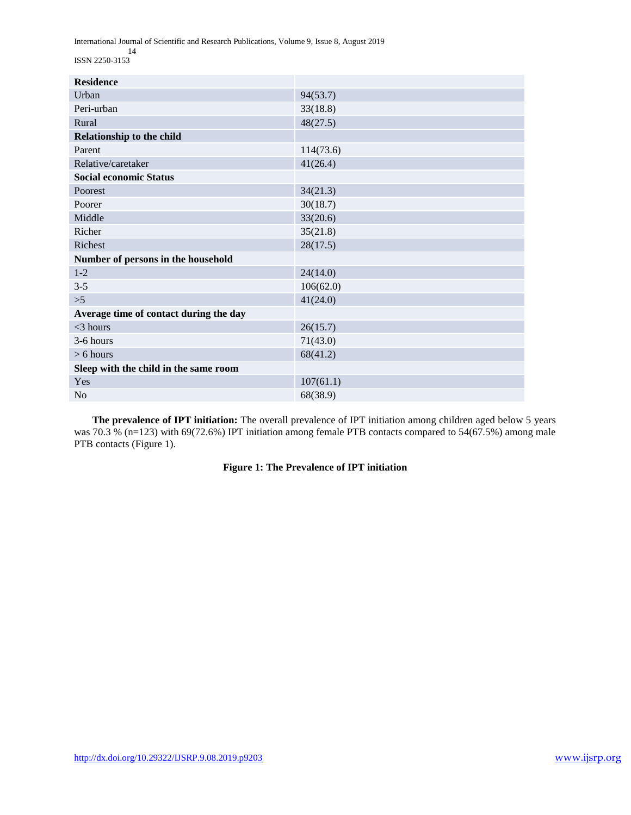International Journal of Scientific and Research Publications, Volume 9, Issue 8, August 2019

 14 ISSN 2250-3153

| <b>Residence</b>                       |           |
|----------------------------------------|-----------|
| Urban                                  | 94(53.7)  |
| Peri-urban                             | 33(18.8)  |
| Rural                                  | 48(27.5)  |
| Relationship to the child              |           |
| Parent                                 | 114(73.6) |
| Relative/caretaker                     | 41(26.4)  |
| <b>Social economic Status</b>          |           |
| Poorest                                | 34(21.3)  |
| Poorer                                 | 30(18.7)  |
| Middle                                 | 33(20.6)  |
| Richer                                 | 35(21.8)  |
| Richest                                | 28(17.5)  |
| Number of persons in the household     |           |
| $1 - 2$                                | 24(14.0)  |
| $3 - 5$                                | 106(62.0) |
| $>5$                                   | 41(24.0)  |
| Average time of contact during the day |           |
| $<$ 3 hours                            | 26(15.7)  |
| 3-6 hours                              | 71(43.0)  |
| $> 6$ hours                            | 68(41.2)  |
| Sleep with the child in the same room  |           |
| Yes                                    | 107(61.1) |
| N <sub>o</sub>                         | 68(38.9)  |

 **The prevalence of IPT initiation:** The overall prevalence of IPT initiation among children aged below 5 years was 70.3 % (n=123) with 69(72.6%) IPT initiation among female PTB contacts compared to 54(67.5%) among male PTB contacts (Figure 1).

## **Figure 1: The Prevalence of IPT initiation**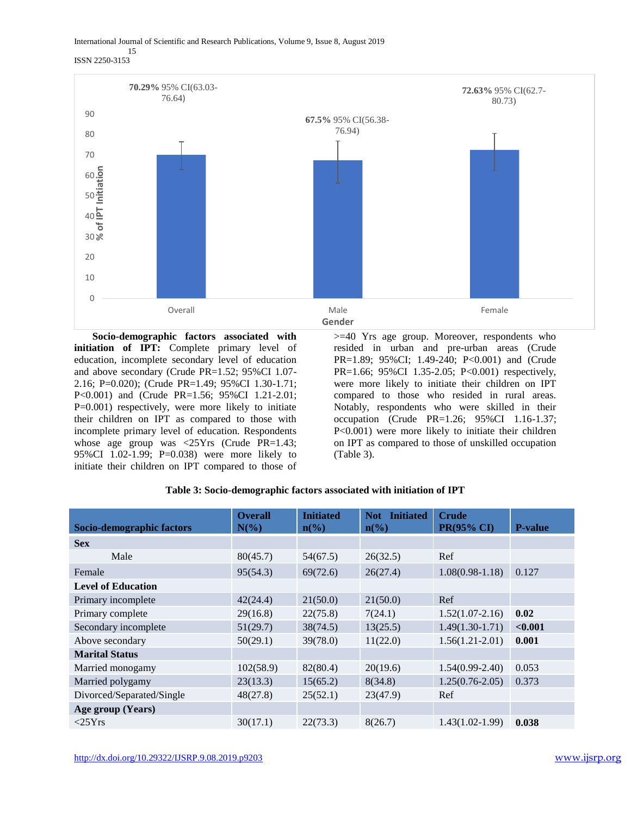International Journal of Scientific and Research Publications, Volume 9, Issue 8, August 2019

#### 15 ISSN 2250-3153



 **Socio-demographic factors associated with initiation of IPT:** Complete primary level of education, incomplete secondary level of education and above secondary (Crude PR=1.52; 95%CI 1.07- 2.16; P=0.020); (Crude PR=1.49; 95%CI 1.30-1.71; P<0.001) and (Crude PR=1.56; 95%CI 1.21-2.01; P=0.001) respectively, were more likely to initiate their children on IPT as compared to those with incomplete primary level of education. Respondents whose age group was <25Yrs (Crude PR=1.43; 95%CI 1.02-1.99; P=0.038) were more likely to initiate their children on IPT compared to those of

>=40 Yrs age group. Moreover, respondents who resided in urban and pre-urban areas (Crude PR=1.89; 95%CI; 1.49-240; P<0.001) and (Crude PR=1.66; 95%CI 1.35-2.05; P<0.001) respectively, were more likely to initiate their children on IPT compared to those who resided in rural areas. Notably, respondents who were skilled in their occupation (Crude PR=1.26; 95%CI 1.16-1.37; P<0.001) were more likely to initiate their children on IPT as compared to those of unskilled occupation (Table 3).

| Table 3: Socio-demographic factors associated with initiation of IPT |
|----------------------------------------------------------------------|
|----------------------------------------------------------------------|

|                           | <b>Overall</b> | <b>Initiated</b>            | <b>Initiated</b><br>Not: | <b>Crude</b>      |                |
|---------------------------|----------------|-----------------------------|--------------------------|-------------------|----------------|
| Socio-demographic factors | $N(\%)$        | $n\left(\frac{0}{0}\right)$ | $n\frac{6}{6}$           | PR(95% CI)        | <b>P-value</b> |
| <b>Sex</b>                |                |                             |                          |                   |                |
| Male                      | 80(45.7)       | 54(67.5)                    | 26(32.5)                 | Ref               |                |
| Female                    | 95(54.3)       | 69(72.6)                    | 26(27.4)                 | $1.08(0.98-1.18)$ | 0.127          |
| <b>Level of Education</b> |                |                             |                          |                   |                |
| Primary incomplete        | 42(24.4)       | 21(50.0)                    | 21(50.0)                 | Ref               |                |
| Primary complete          | 29(16.8)       | 22(75.8)                    | 7(24.1)                  | $1.52(1.07-2.16)$ | 0.02           |
| Secondary incomplete      | 51(29.7)       | 38(74.5)                    | 13(25.5)                 | $1.49(1.30-1.71)$ | < 0.001        |
| Above secondary           | 50(29.1)       | 39(78.0)                    | 11(22.0)                 | $1.56(1.21-2.01)$ | 0.001          |
| <b>Marital Status</b>     |                |                             |                          |                   |                |
| Married monogamy          | 102(58.9)      | 82(80.4)                    | 20(19.6)                 | $1.54(0.99-2.40)$ | 0.053          |
| Married polygamy          | 23(13.3)       | 15(65.2)                    | 8(34.8)                  | $1.25(0.76-2.05)$ | 0.373          |
| Divorced/Separated/Single | 48(27.8)       | 25(52.1)                    | 23(47.9)                 | Ref               |                |
| Age group (Years)         |                |                             |                          |                   |                |
| $<$ 25 $Y$ rs             | 30(17.1)       | 22(73.3)                    | 8(26.7)                  | $1.43(1.02-1.99)$ | 0.038          |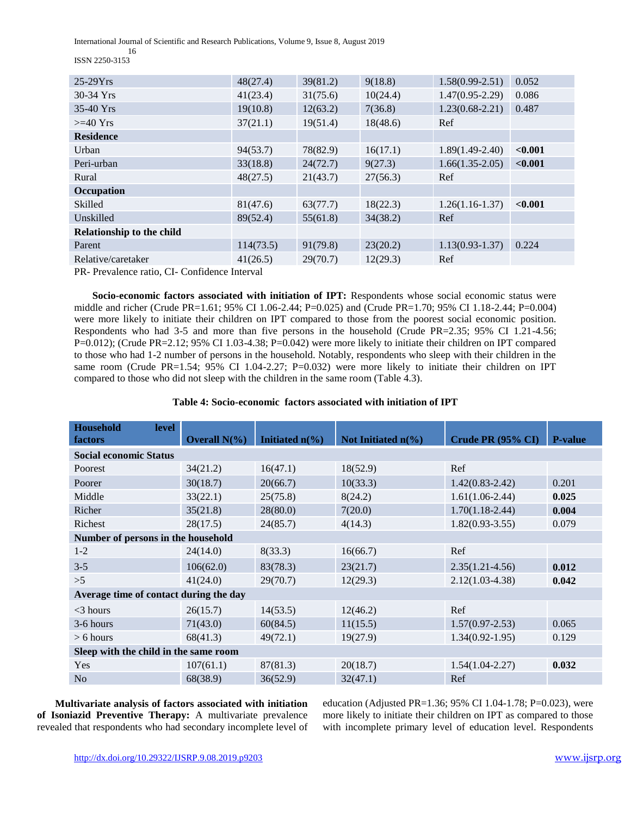International Journal of Scientific and Research Publications, Volume 9, Issue 8, August 2019

 16 ISSN 2250-3153

| $25-29Yrs$                                  | 48(27.4)  | 39(81.2) | 9(18.8)  | $1.58(0.99 - 2.51)$ | 0.052   |  |  |
|---------------------------------------------|-----------|----------|----------|---------------------|---------|--|--|
| 30-34 Yrs                                   | 41(23.4)  | 31(75.6) | 10(24.4) | $1.47(0.95 - 2.29)$ | 0.086   |  |  |
| $35-40$ Yrs                                 | 19(10.8)  | 12(63.2) | 7(36.8)  | $1.23(0.68 - 2.21)$ | 0.487   |  |  |
| $>=$ 40 Yrs                                 | 37(21.1)  | 19(51.4) | 18(48.6) | Ref                 |         |  |  |
| <b>Residence</b>                            |           |          |          |                     |         |  |  |
| Urban                                       | 94(53.7)  | 78(82.9) | 16(17.1) | $1.89(1.49-2.40)$   | < 0.001 |  |  |
| Peri-urban                                  | 33(18.8)  | 24(72.7) | 9(27.3)  | $1.66(1.35-2.05)$   | < 0.001 |  |  |
| Rural                                       | 48(27.5)  | 21(43.7) | 27(56.3) | Ref                 |         |  |  |
| Occupation                                  |           |          |          |                     |         |  |  |
| Skilled                                     | 81(47.6)  | 63(77.7) | 18(22.3) | $1.26(1.16-1.37)$   | < 0.001 |  |  |
| Unskilled                                   | 89(52.4)  | 55(61.8) | 34(38.2) | Ref                 |         |  |  |
| Relationship to the child                   |           |          |          |                     |         |  |  |
| Parent                                      | 114(73.5) | 91(79.8) | 23(20.2) | $1.13(0.93 - 1.37)$ | 0.224   |  |  |
| Relative/caretaker                          | 41(26.5)  | 29(70.7) | 12(29.3) | Ref                 |         |  |  |
| PR. Prevalence ratio CL Confidence Interval |           |          |          |                     |         |  |  |

PR- Prevalence ratio, CI- Confidence Interval

**Socio-economic factors associated with initiation of IPT:** Respondents whose social economic status were middle and richer (Crude PR=1.61; 95% CI 1.06-2.44; P=0.025) and (Crude PR=1.70; 95% CI 1.18-2.44; P=0.004) were more likely to initiate their children on IPT compared to those from the poorest social economic position. Respondents who had 3-5 and more than five persons in the household (Crude PR=2.35; 95% CI 1.21-4.56; P=0.012); (Crude PR=2.12; 95% CI 1.03-4.38; P=0.042) were more likely to initiate their children on IPT compared to those who had 1-2 number of persons in the household. Notably, respondents who sleep with their children in the same room (Crude PR=1.54; 95% CI 1.04-2.27; P=0.032) were more likely to initiate their children on IPT compared to those who did not sleep with the children in the same room (Table 4.3).

| Table 4: Socio-economic factors associated with initiation of IPT |  |  |  |
|-------------------------------------------------------------------|--|--|--|
|-------------------------------------------------------------------|--|--|--|

| <b>Household</b><br><b>level</b><br>factors | Overall $N(\%)$ | Initiated $n\ll 0$ | Not Initiated $n\llap/$ <sub>0</sub> ) | Crude PR (95% CI)   | <b>P-value</b> |  |  |  |
|---------------------------------------------|-----------------|--------------------|----------------------------------------|---------------------|----------------|--|--|--|
| <b>Social economic Status</b>               |                 |                    |                                        |                     |                |  |  |  |
| Poorest                                     | 34(21.2)        | 16(47.1)           | 18(52.9)                               | Ref                 |                |  |  |  |
| Poorer                                      | 30(18.7)        | 20(66.7)           | 10(33.3)                               | $1.42(0.83 - 2.42)$ | 0.201          |  |  |  |
| Middle                                      | 33(22.1)        | 25(75.8)           | 8(24.2)                                | $1.61(1.06-2.44)$   | 0.025          |  |  |  |
| Richer                                      | 35(21.8)        | 28(80.0)           | 7(20.0)                                | $1.70(1.18-2.44)$   | 0.004          |  |  |  |
| Richest                                     | 28(17.5)        | 24(85.7)           | 4(14.3)                                | $1.82(0.93-3.55)$   | 0.079          |  |  |  |
| Number of persons in the household          |                 |                    |                                        |                     |                |  |  |  |
| $1-2$                                       | 24(14.0)        | 8(33.3)            | 16(66.7)                               | Ref                 |                |  |  |  |
| $3 - 5$                                     | 106(62.0)       | 83(78.3)           | 23(21.7)                               | $2.35(1.21 - 4.56)$ | 0.012          |  |  |  |
| >5                                          | 41(24.0)        | 29(70.7)           | 12(29.3)                               | $2.12(1.03-4.38)$   | 0.042          |  |  |  |
| Average time of contact during the day      |                 |                    |                                        |                     |                |  |  |  |
| $<$ 3 hours                                 | 26(15.7)        | 14(53.5)           | 12(46.2)                               | Ref                 |                |  |  |  |
| 3-6 hours                                   | 71(43.0)        | 60(84.5)           | 11(15.5)                               | $1.57(0.97 - 2.53)$ | 0.065          |  |  |  |
| $> 6$ hours                                 | 68(41.3)        | 49(72.1)           | 19(27.9)                               | $1.34(0.92 - 1.95)$ | 0.129          |  |  |  |
| Sleep with the child in the same room       |                 |                    |                                        |                     |                |  |  |  |
| Yes                                         | 107(61.1)       | 87(81.3)           | 20(18.7)                               | $1.54(1.04 - 2.27)$ | 0.032          |  |  |  |
| N <sub>o</sub>                              | 68(38.9)        | 36(52.9)           | 32(47.1)                               | Ref                 |                |  |  |  |

 **Multivariate analysis of factors associated with initiation of Isoniazid Preventive Therapy:** A multivariate prevalence revealed that respondents who had secondary incomplete level of education (Adjusted PR=1.36; 95% CI 1.04-1.78; P=0.023), were more likely to initiate their children on IPT as compared to those with incomplete primary level of education level. Respondents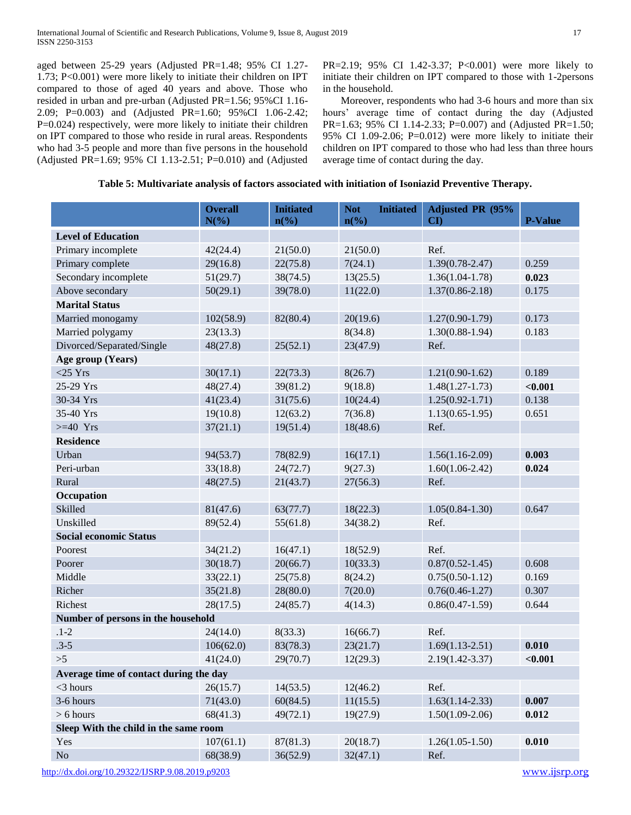aged between 25-29 years (Adjusted PR=1.48; 95% CI 1.27- 1.73; P<0.001) were more likely to initiate their children on IPT compared to those of aged 40 years and above. Those who resided in urban and pre-urban (Adjusted PR=1.56; 95%CI 1.16- 2.09; P=0.003) and (Adjusted PR=1.60; 95%CI 1.06-2.42; P=0.024) respectively, were more likely to initiate their children on IPT compared to those who reside in rural areas. Respondents who had 3-5 people and more than five persons in the household (Adjusted PR=1.69; 95% CI 1.13-2.51; P=0.010) and (Adjusted PR=2.19; 95% CI 1.42-3.37; P<0.001) were more likely to initiate their children on IPT compared to those with 1-2persons in the household.

Moreover, respondents who had 3-6 hours and more than six hours' average time of contact during the day (Adjusted PR=1.63; 95% CI 1.14-2.33; P=0.007) and (Adjusted PR=1.50; 95% CI 1.09-2.06; P=0.012) were more likely to initiate their children on IPT compared to those who had less than three hours average time of contact during the day.

|  |  |  |  | Table 5: Multivariate analysis of factors associated with initiation of Isoniazid Preventive Therapy. |  |  |
|--|--|--|--|-------------------------------------------------------------------------------------------------------|--|--|
|--|--|--|--|-------------------------------------------------------------------------------------------------------|--|--|

|                                        | <b>Overall</b><br>$N(\%)$ | <b>Initiated</b><br>$n\left(\%\right)$ | <b>Not</b><br><b>Initiated</b><br>$n\frac{6}{6}$ | Adjusted PR (95%<br>$\mathbf{C}\mathbf{D}$ | <b>P-Value</b> |
|----------------------------------------|---------------------------|----------------------------------------|--------------------------------------------------|--------------------------------------------|----------------|
| <b>Level of Education</b>              |                           |                                        |                                                  |                                            |                |
| Primary incomplete                     | 42(24.4)                  | 21(50.0)                               | 21(50.0)                                         | Ref.                                       |                |
| Primary complete                       | 29(16.8)                  | 22(75.8)                               | 7(24.1)                                          | $1.39(0.78 - 2.47)$                        | 0.259          |
| Secondary incomplete                   | 51(29.7)                  | 38(74.5)                               | 13(25.5)                                         | $1.36(1.04-1.78)$                          | 0.023          |
| Above secondary                        | 50(29.1)                  | 39(78.0)                               | 11(22.0)                                         | $1.37(0.86 - 2.18)$                        | 0.175          |
| <b>Marital Status</b>                  |                           |                                        |                                                  |                                            |                |
| Married monogamy                       | 102(58.9)                 | 82(80.4)                               | 20(19.6)                                         | $1.27(0.90-1.79)$                          | 0.173          |
| Married polygamy                       | 23(13.3)                  |                                        | 8(34.8)                                          | $1.30(0.88-1.94)$                          | 0.183          |
| Divorced/Separated/Single              | 48(27.8)                  | 25(52.1)                               | 23(47.9)                                         | Ref.                                       |                |
| Age group (Years)                      |                           |                                        |                                                  |                                            |                |
| $<$ 25 Yrs                             | 30(17.1)                  | 22(73.3)                               | 8(26.7)                                          | $1.21(0.90-1.62)$                          | 0.189          |
| 25-29 Yrs                              | 48(27.4)                  | 39(81.2)                               | 9(18.8)                                          | $1.48(1.27-1.73)$                          | < 0.001        |
| 30-34 Yrs                              | 41(23.4)                  | 31(75.6)                               | 10(24.4)                                         | $1.25(0.92 - 1.71)$                        | 0.138          |
| 35-40 Yrs                              | 19(10.8)                  | 12(63.2)                               | 7(36.8)                                          | $1.13(0.65-1.95)$                          | 0.651          |
| $>=$ 40 Yrs                            | 37(21.1)                  | 19(51.4)                               | 18(48.6)                                         | Ref.                                       |                |
| <b>Residence</b>                       |                           |                                        |                                                  |                                            |                |
| Urban                                  | 94(53.7)                  | 78(82.9)                               | 16(17.1)                                         | $1.56(1.16-2.09)$                          | 0.003          |
| Peri-urban                             | 33(18.8)                  | 24(72.7)                               | 9(27.3)                                          | $1.60(1.06-2.42)$                          | 0.024          |
| Rural                                  | 48(27.5)                  | 21(43.7)                               | 27(56.3)                                         | Ref.                                       |                |
| Occupation                             |                           |                                        |                                                  |                                            |                |
| Skilled                                | 81(47.6)                  | 63(77.7)                               | 18(22.3)                                         | $1.05(0.84 - 1.30)$                        | 0.647          |
| Unskilled                              | 89(52.4)                  | 55(61.8)                               | 34(38.2)                                         | Ref.                                       |                |
| <b>Social economic Status</b>          |                           |                                        |                                                  |                                            |                |
| Poorest                                | 34(21.2)                  | 16(47.1)                               | 18(52.9)                                         | Ref.                                       |                |
| Poorer                                 | 30(18.7)                  | 20(66.7)                               | 10(33.3)                                         | $0.87(0.52 - 1.45)$                        | 0.608          |
| Middle                                 | 33(22.1)                  | 25(75.8)                               | 8(24.2)                                          | $0.75(0.50-1.12)$                          | 0.169          |
| Richer                                 | 35(21.8)                  | 28(80.0)                               | 7(20.0)                                          | $0.76(0.46 - 1.27)$                        | 0.307          |
| Richest                                | 28(17.5)                  | 24(85.7)                               | 4(14.3)                                          | $0.86(0.47-1.59)$                          | 0.644          |
| Number of persons in the household     |                           |                                        |                                                  |                                            |                |
| $.1 - 2$                               | 24(14.0)                  | 8(33.3)                                | 16(66.7)                                         | Ref.                                       |                |
| $.3 - 5$                               | 106(62.0)                 | 83(78.3)                               | 23(21.7)                                         | $1.69(1.13 - 2.51)$                        | 0.010          |
| >5                                     | 41(24.0)                  | 29(70.7)                               | 12(29.3)                                         | $2.19(1.42 - 3.37)$                        | < 0.001        |
| Average time of contact during the day |                           |                                        |                                                  |                                            |                |
| $<$ 3 hours                            | 26(15.7)                  | 14(53.5)                               | 12(46.2)                                         | Ref.                                       |                |
| 3-6 hours                              | 71(43.0)                  | 60(84.5)                               | 11(15.5)                                         | $1.63(1.14 - 2.33)$                        | 0.007          |
| $> 6$ hours                            | 68(41.3)                  | 49(72.1)                               | 19(27.9)                                         | $1.50(1.09-2.06)$                          | 0.012          |
| Sleep With the child in the same room  |                           |                                        |                                                  |                                            |                |
| Yes                                    | 107(61.1)                 | 87(81.3)                               | 20(18.7)                                         | $1.26(1.05-1.50)$                          | 0.010          |
| No                                     | 68(38.9)                  | 36(52.9)                               | 32(47.1)                                         | Ref.                                       |                |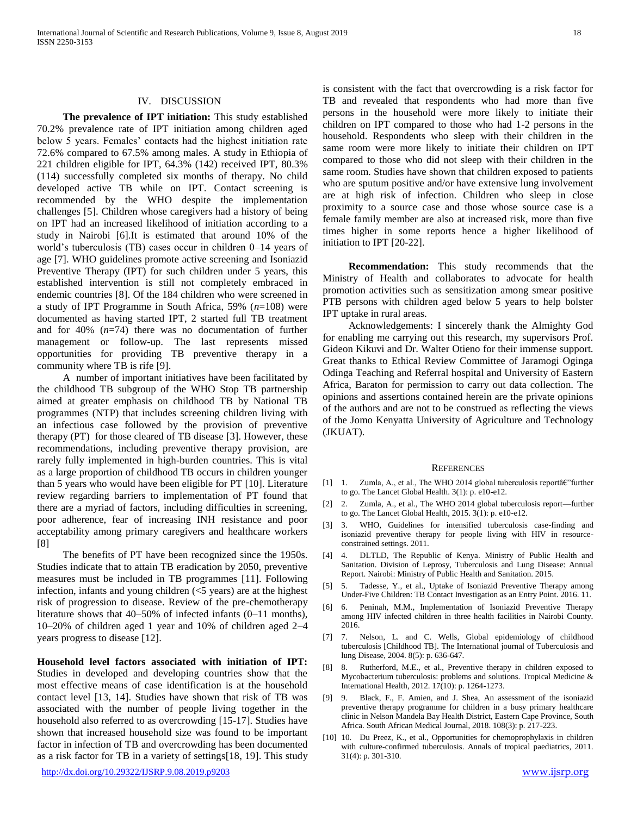# IV. DISCUSSION

 **The prevalence of IPT initiation:** This study established 70.2% prevalence rate of IPT initiation among children aged below 5 years. Females' contacts had the highest initiation rate 72.6% compared to 67.5% among males. A study in Ethiopia of 221 children eligible for IPT, 64.3% (142) received IPT, 80.3% (114) successfully completed six months of therapy. No child developed active TB while on IPT. Contact screening is recommended by the WHO despite the implementation challenges [5]. Children whose caregivers had a history of being on IPT had an increased likelihood of initiation according to a study in Nairobi [6].It is estimated that around 10% of the world's tuberculosis (TB) cases occur in children 0–14 years of age [7]. WHO guidelines promote active screening and Isoniazid Preventive Therapy (IPT) for such children under 5 years, this established intervention is still not completely embraced in endemic countries [8]. Of the 184 children who were screened in a study of IPT Programme in South Africa, 59% (*n*=108) were documented as having started IPT, 2 started full TB treatment and for 40% (*n*=74) there was no documentation of further management or follow-up. The last represents missed opportunities for providing TB preventive therapy in a community where TB is rife [9].

A number of important initiatives have been facilitated by the childhood TB subgroup of the WHO Stop TB partnership aimed at greater emphasis on childhood TB by National TB programmes (NTP) that includes screening children living with an infectious case followed by the provision of preventive therapy (PT) for those cleared of TB disease [3]. However, these recommendations, including preventive therapy provision, are rarely fully implemented in high-burden countries. This is vital as a large proportion of childhood TB occurs in children younger than 5 years who would have been eligible for PT [10]. Literature review regarding barriers to implementation of PT found that there are a myriad of factors, including difficulties in screening, poor adherence, fear of increasing INH resistance and poor acceptability among primary caregivers and healthcare workers [8]

The benefits of PT have been recognized since the 1950s. Studies indicate that to attain TB eradication by 2050, preventive measures must be included in TB programmes [11]. Following infection, infants and young children  $(<5$  years) are at the highest risk of progression to disease. Review of the pre-chemotherapy literature shows that 40–50% of infected infants (0–11 months), 10–20% of children aged 1 year and 10% of children aged 2–4 years progress to disease [12].

**Household level factors associated with initiation of IPT:**  Studies in developed and developing countries show that the most effective means of case identification is at the household contact level [13, 14]. Studies have shown that risk of TB was associated with the number of people living together in the household also referred to as overcrowding [15-17]. Studies have shown that increased household size was found to be important factor in infection of TB and overcrowding has been documented as a risk factor for TB in a variety of settings[18, 19]. This study

is consistent with the fact that overcrowding is a risk factor for TB and revealed that respondents who had more than five persons in the household were more likely to initiate their children on IPT compared to those who had 1-2 persons in the household. Respondents who sleep with their children in the same room were more likely to initiate their children on IPT compared to those who did not sleep with their children in the same room. Studies have shown that children exposed to patients who are sputum positive and/or have extensive lung involvement are at high risk of infection. Children who sleep in close proximity to a source case and those whose source case is a female family member are also at increased risk, more than five times higher in some reports hence a higher likelihood of initiation to IPT [20-22].

 **Recommendation:** This study recommends that the Ministry of Health and collaborates to advocate for health promotion activities such as sensitization among smear positive PTB persons with children aged below 5 years to help bolster IPT uptake in rural areas.

Acknowledgements: I sincerely thank the Almighty God for enabling me carrying out this research, my supervisors Prof. Gideon Kikuvi and Dr. Walter Otieno for their immense support. Great thanks to Ethical Review Committee of Jaramogi Oginga Odinga Teaching and Referral hospital and University of Eastern Africa, Baraton for permission to carry out data collection. The opinions and assertions contained herein are the private opinions of the authors and are not to be construed as reflecting the views of the Jomo Kenyatta University of Agriculture and Technology (JKUAT).

#### **REFERENCES**

- [1] 1. Zumla, A., et al., The WHO 2014 global tuberculosis reporta $\varepsilon$ "further to go. The Lancet Global Health. 3(1): p. e10-e12.
- [2] 2. Zumla, A., et al., The WHO 2014 global tuberculosis report—further to go. The Lancet Global Health, 2015. 3(1): p. e10-e12.
- [3] 3. WHO, Guidelines for intensified tuberculosis case-finding and isoniazid preventive therapy for people living with HIV in resourceconstrained settings. 2011.
- [4] 4. DLTLD, The Republic of Kenya. Ministry of Public Health and Sanitation. Division of Leprosy, Tuberculosis and Lung Disease: Annual Report. Nairobi: Ministry of Public Health and Sanitation. 2015.
- [5] 5. Tadesse, Y., et al., Uptake of Isoniazid Preventive Therapy among Under-Five Children: TB Contact Investigation as an Entry Point. 2016. 11.
- [6] 6. Peninah, M.M., Implementation of Isoniazid Preventive Therapy among HIV infected children in three health facilities in Nairobi County. 2016.
- [7] 7. Nelson, L. and C. Wells, Global epidemiology of childhood tuberculosis [Childhood TB]. The International journal of Tuberculosis and lung Disease, 2004. 8(5): p. 636-647.
- [8] 8. Rutherford, M.E., et al., Preventive therapy in children exposed to Mycobacterium tuberculosis: problems and solutions. Tropical Medicine & International Health, 2012. 17(10): p. 1264-1273.
- [9] 9. Black, F., F. Amien, and J. Shea, An assessment of the isoniazid preventive therapy programme for children in a busy primary healthcare clinic in Nelson Mandela Bay Health District, Eastern Cape Province, South Africa. South African Medical Journal, 2018. 108(3): p. 217-223.
- [10] 10. Du Preez, K., et al., Opportunities for chemoprophylaxis in children with culture-confirmed tuberculosis. Annals of tropical paediatrics, 2011. 31(4): p. 301-310.